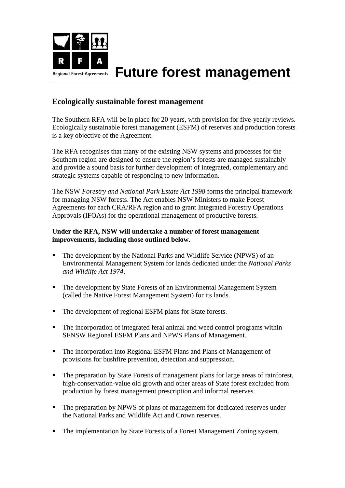

## **Regional Forest Agreements** Future forest management

## **Ecologically sustainable forest management**

The Southern RFA will be in place for 20 years, with provision for five-yearly reviews. Ecologically sustainable forest management (ESFM) of reserves and production forests is a key objective of the Agreement.

The RFA recognises that many of the existing NSW systems and processes for the Southern region are designed to ensure the region's forests are managed sustainably and provide a sound basis for further development of integrated, complementary and strategic systems capable of responding to new information.

The NSW *Forestry and National Park Estate Act 1998* forms the principal framework for managing NSW forests. The Act enables NSW Ministers to make Forest Agreements for each CRA/RFA region and to grant Integrated Forestry Operations Approvals (IFOAs) for the operational management of productive forests.

## **Under the RFA, NSW will undertake a number of forest management improvements, including those outlined below.**

- The development by the National Parks and Wildlife Service (NPWS) of an Environmental Management System for lands dedicated under the *National Parks and Wildlife Act 1974*.
- The development by State Forests of an Environmental Management System (called the Native Forest Management System) for its lands.
- The development of regional ESFM plans for State forests.
- The incorporation of integrated feral animal and weed control programs within SFNSW Regional ESFM Plans and NPWS Plans of Management.
- The incorporation into Regional ESFM Plans and Plans of Management of provisions for bushfire prevention, detection and suppression.
- The preparation by State Forests of management plans for large areas of rainforest, high-conservation-value old growth and other areas of State forest excluded from production by forest management prescription and informal reserves.
- The preparation by NPWS of plans of management for dedicated reserves under the National Parks and Wildlife Act and Crown reserves.
- The implementation by State Forests of a Forest Management Zoning system.